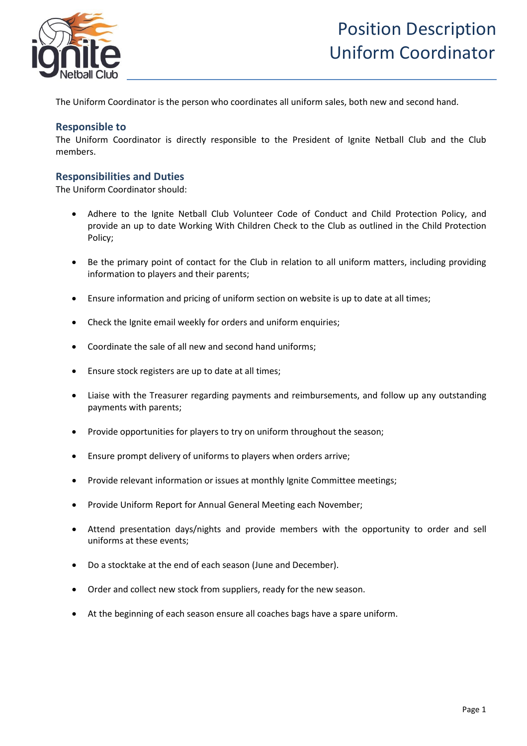

The Uniform Coordinator is the person who coordinates all uniform sales, both new and second hand.

## **Responsible to**

The Uniform Coordinator is directly responsible to the President of Ignite Netball Club and the Club members.

## **Responsibilities and Duties**

The Uniform Coordinator should:

- Adhere to the Ignite Netball Club Volunteer Code of Conduct and Child Protection Policy, and provide an up to date Working With Children Check to the Club as outlined in the Child Protection Policy;
- Be the primary point of contact for the Club in relation to all uniform matters, including providing information to players and their parents;
- Ensure information and pricing of uniform section on website is up to date at all times;
- Check the Ignite email weekly for orders and uniform enquiries;
- Coordinate the sale of all new and second hand uniforms;
- Ensure stock registers are up to date at all times;
- Liaise with the Treasurer regarding payments and reimbursements, and follow up any outstanding payments with parents;
- Provide opportunities for players to try on uniform throughout the season;
- Ensure prompt delivery of uniforms to players when orders arrive;
- Provide relevant information or issues at monthly Ignite Committee meetings;
- Provide Uniform Report for Annual General Meeting each November;
- Attend presentation days/nights and provide members with the opportunity to order and sell uniforms at these events;
- Do a stocktake at the end of each season (June and December).
- Order and collect new stock from suppliers, ready for the new season.
- At the beginning of each season ensure all coaches bags have a spare uniform.